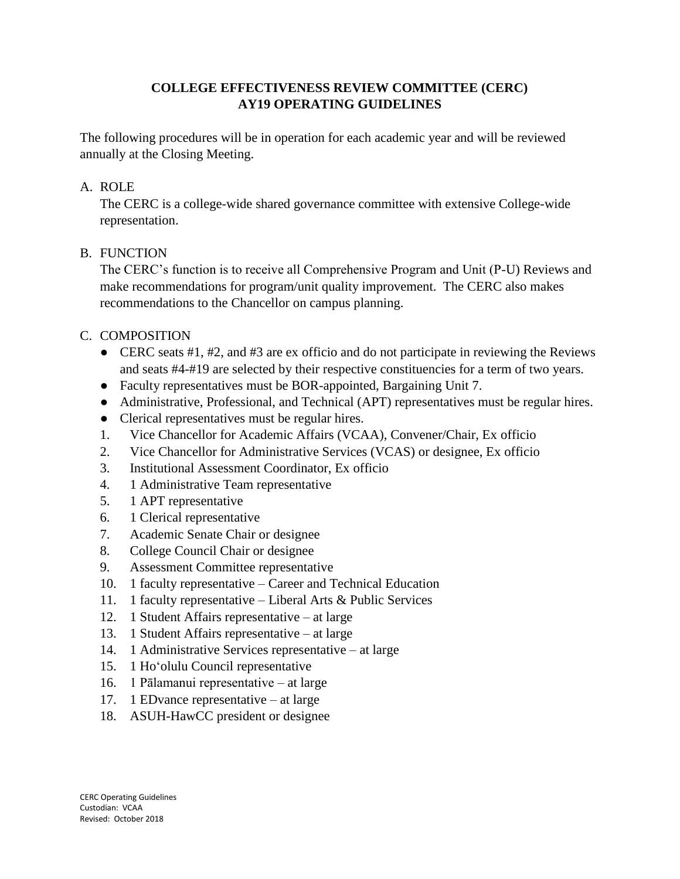# **COLLEGE EFFECTIVENESS REVIEW COMMITTEE (CERC) AY19 OPERATING GUIDELINES**

The following procedures will be in operation for each academic year and will be reviewed annually at the Closing Meeting.

# A. ROLE

The CERC is a college-wide shared governance committee with extensive College-wide representation.

## B. FUNCTION

The CERC's function is to receive all Comprehensive Program and Unit (P-U) Reviews and make recommendations for program/unit quality improvement. The CERC also makes recommendations to the Chancellor on campus planning.

# C. COMPOSITION

- CERC seats #1, #2, and #3 are ex officio and do not participate in reviewing the Reviews and seats #4-#19 are selected by their respective constituencies for a term of two years.
- Faculty representatives must be BOR-appointed, Bargaining Unit 7.
- Administrative, Professional, and Technical (APT) representatives must be regular hires.
- Clerical representatives must be regular hires.
- 1. Vice Chancellor for Academic Affairs (VCAA), Convener/Chair, Ex officio
- 2. Vice Chancellor for Administrative Services (VCAS) or designee, Ex officio
- 3. Institutional Assessment Coordinator, Ex officio
- 4. 1 Administrative Team representative
- 5. 1 APT representative
- 6. 1 Clerical representative
- 7. Academic Senate Chair or designee
- 8. College Council Chair or designee
- 9. Assessment Committee representative
- 10. 1 faculty representative Career and Technical Education
- 11. 1 faculty representative Liberal Arts & Public Services
- 12. 1 Student Affairs representative at large
- 13. 1 Student Affairs representative at large
- 14. 1 Administrative Services representative at large
- 15. 1 Hoʻolulu Council representative
- 16. 1 Pālamanui representative at large
- 17. 1 EDvance representative at large
- 18. ASUH-HawCC president or designee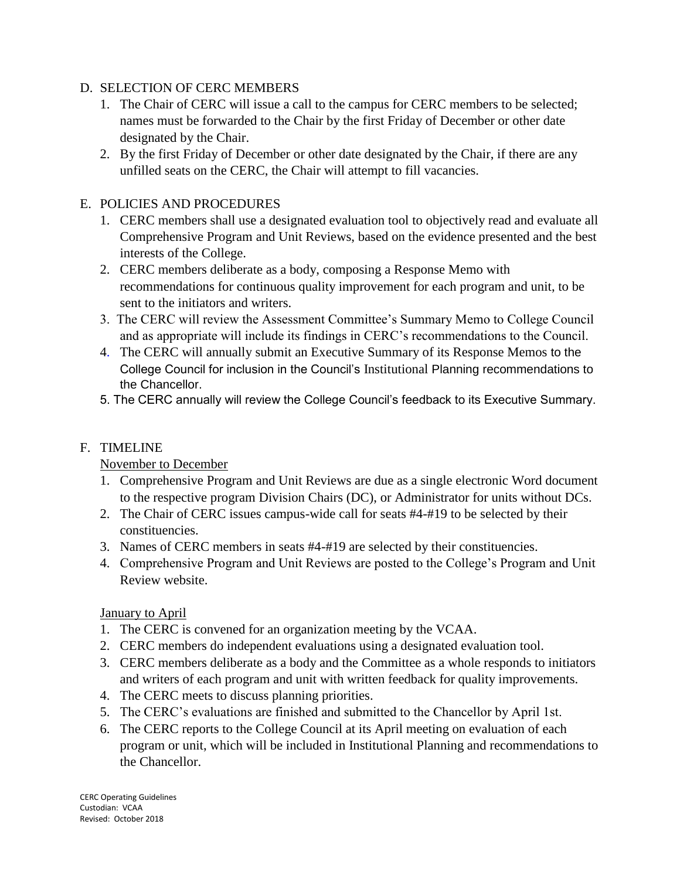### D. SELECTION OF CERC MEMBERS

- 1. The Chair of CERC will issue a call to the campus for CERC members to be selected; names must be forwarded to the Chair by the first Friday of December or other date designated by the Chair.
- 2. By the first Friday of December or other date designated by the Chair, if there are any unfilled seats on the CERC, the Chair will attempt to fill vacancies.

## E. POLICIES AND PROCEDURES

- 1. CERC members shall use a designated evaluation tool to objectively read and evaluate all Comprehensive Program and Unit Reviews, based on the evidence presented and the best interests of the College.
- 2. CERC members deliberate as a body, composing a Response Memo with recommendations for continuous quality improvement for each program and unit, to be sent to the initiators and writers.
- 3. The CERC will review the Assessment Committee's Summary Memo to College Council and as appropriate will include its findings in CERC's recommendations to the Council.
- 4. The CERC will annually submit an Executive Summary of its Response Memos to the College Council for inclusion in the Council's Institutional Planning recommendations to the Chancellor.
- 5. The CERC annually will review the College Council's feedback to its Executive Summary.

# F. TIMELINE

# November to December

- 1. Comprehensive Program and Unit Reviews are due as a single electronic Word document to the respective program Division Chairs (DC), or Administrator for units without DCs.
- 2. The Chair of CERC issues campus-wide call for seats #4-#19 to be selected by their constituencies.
- 3. Names of CERC members in seats #4-#19 are selected by their constituencies.
- 4. Comprehensive Program and Unit Reviews are posted to the College's Program and Unit Review website.

### **January to April**

- 1. The CERC is convened for an organization meeting by the VCAA.
- 2. CERC members do independent evaluations using a designated evaluation tool.
- 3. CERC members deliberate as a body and the Committee as a whole responds to initiators and writers of each program and unit with written feedback for quality improvements.
- 4. The CERC meets to discuss planning priorities.
- 5. The CERC's evaluations are finished and submitted to the Chancellor by April 1st.
- 6. The CERC reports to the College Council at its April meeting on evaluation of each program or unit, which will be included in Institutional Planning and recommendations to the Chancellor.